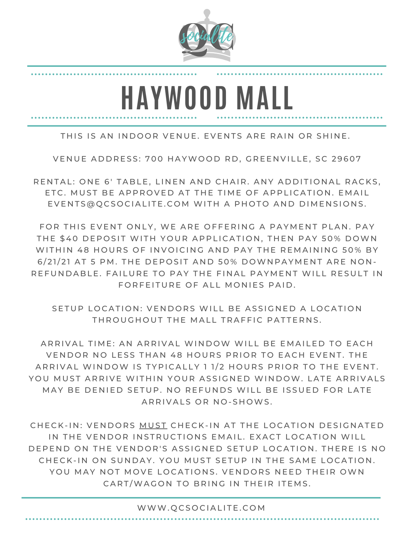

## **HAYWOOD MALL**

THIS IS AN INDOOR VENUE. EVENTS ARE RAIN OR SHINE.

VENUE ADDRESS: 700 HAYWOOD RD, GREENVILLE, SC 29607

RENTAL: ONE 6' TABLE, LINEN AND CHAIR, ANY ADDITIONAL RACKS. ETC. MUST BE APPROVED AT THE TIME OF APPLICATION. EMAIL EVENTS@QCSOCIALITE.COM WITH A PHOTO AND DIMENSIONS.

FOR THIS EVENT ONLY, WE ARE OFFERING A PAYMENT PLAN. PAY THE \$40 DEPOSIT WITH YOUR APPLICATION, THEN PAY 50% DOWN WITHIN 48 HOURS OF INVOICING AND PAY THE REMAINING 50% BY 6/21/21 AT 5 PM. THE DEPOSIT AND 50% DOWNPAYMENT ARE NON-REFUNDABLE. FAILURE TO PAY THE FINAL PAYMENT WILL RESULT IN FORFEITURE OF ALL MONIES PAID.

SETUP LOCATION: VENDORS WILL BE ASSIGNED A LOCATION THROUGHOUT THE MALL TRAFFIC PATTERNS.

ARRIVAL TIME: AN ARRIVAL WINDOW WILL BE EMAILED TO EACH VENDOR NO LESS THAN 48 HOURS PRIOR TO EACH EVENT. THE ARRIVAL WINDOW IS TYPICALLY 1 1/2 HOURS PRIOR TO THE EVENT. YOU MUST ARRIVE WITHIN YOUR ASSIGNED WINDOW. LATE ARRIVALS MAY BE DENIED SETUP. NO REFUNDS WILL BE ISSUED FOR LATE ARRIVALS OR NO-SHOWS.

CHECK-IN: VENDORS MUST CHECK-IN AT THE LOCATION DESIGNATED IN THE VENDOR INSTRUCTIONS EMAIL. EXACT LOCATION WILL DEPEND ON THE VENDOR'S ASSIGNED SETUP LOCATION. THERE IS NO CHECK-IN ON SUNDAY. YOU MUST SETUP IN THE SAME LOCATION. YOU MAY NOT MOVE LOCATIONS. VENDORS NEED THEIR OWN CART/WAGON TO BRING IN THEIR ITEMS.

## WWW.QCSOCIALITE.COM